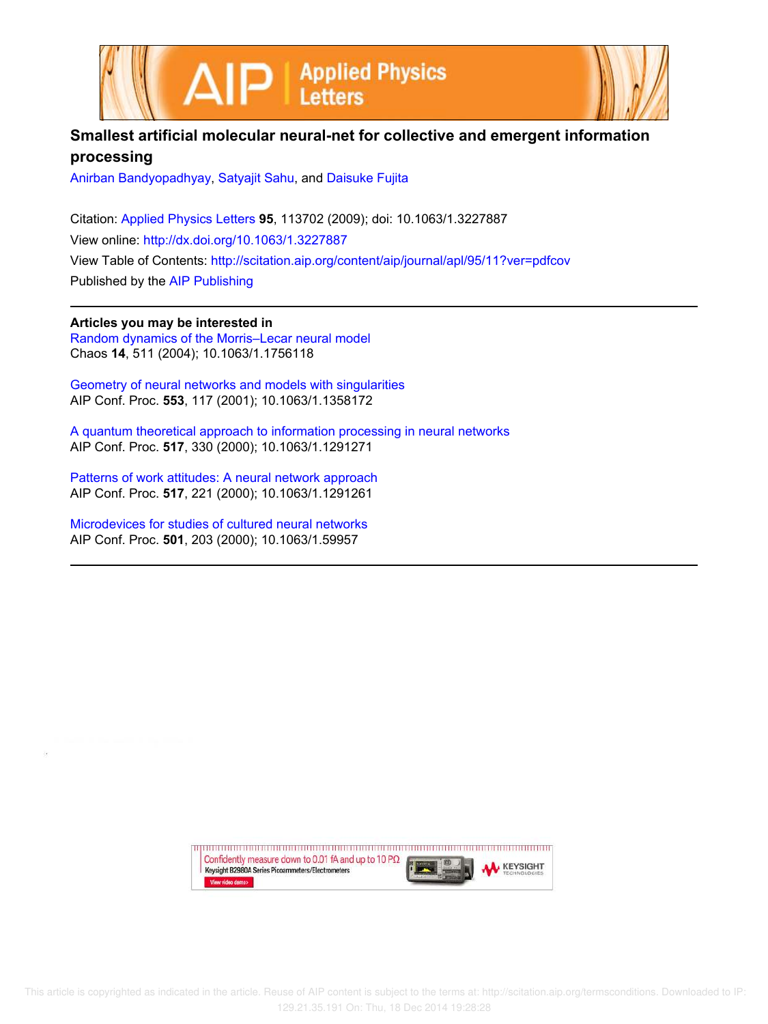



## **Smallest artificial molecular neural-net for collective and emergent information processing**

Anirban Bandyopadhyay, Satyajit Sahu, and Daisuke Fujita

Citation: Applied Physics Letters **95**, 113702 (2009); doi: 10.1063/1.3227887 View online: http://dx.doi.org/10.1063/1.3227887 View Table of Contents: http://scitation.aip.org/content/aip/journal/apl/95/11?ver=pdfcov Published by the AIP Publishing

**Articles you may be interested in** Random dynamics of the Morris–Lecar neural model Chaos **14**, 511 (2004); 10.1063/1.1756118

Geometry of neural networks and models with singularities AIP Conf. Proc. **553**, 117 (2001); 10.1063/1.1358172

A quantum theoretical approach to information processing in neural networks AIP Conf. Proc. **517**, 330 (2000); 10.1063/1.1291271

Patterns of work attitudes: A neural network approach AIP Conf. Proc. **517**, 221 (2000); 10.1063/1.1291261

Microdevices for studies of cultured neural networks AIP Conf. Proc. **501**, 203 (2000); 10.1063/1.59957

> Confidently measure down to 0.01 fA and up to 10 P $\Omega$ **KEYSIGHT** Keysight B2980A Series Picoammeters/Electrometers View video demo>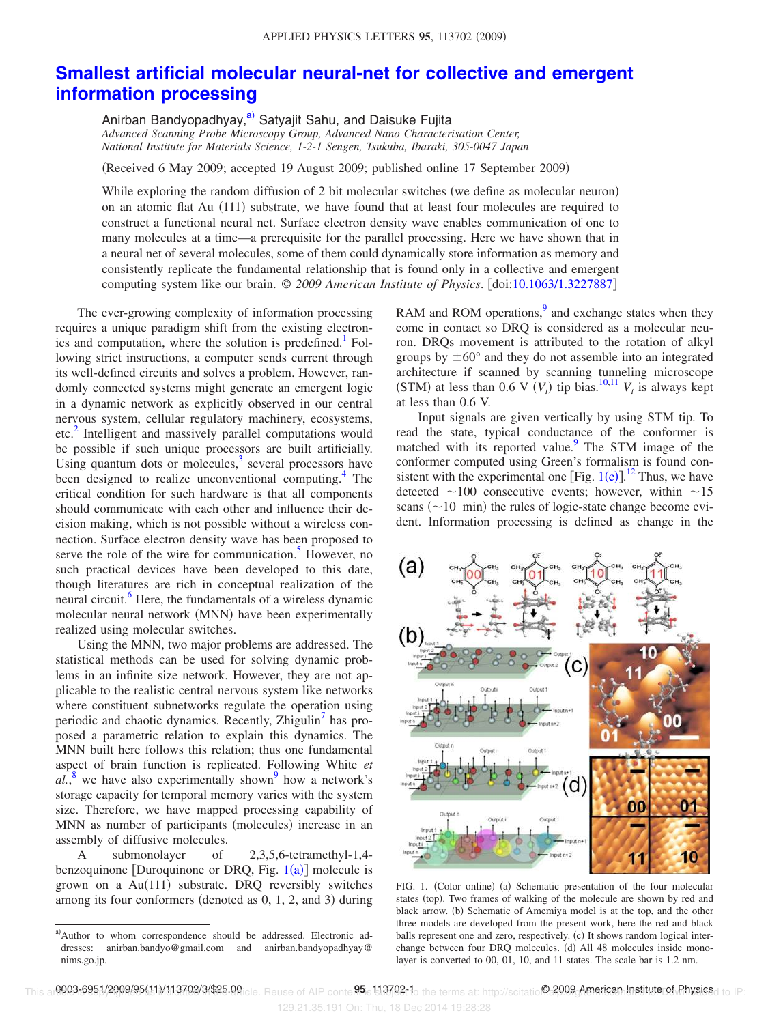## **Smallest artificial molecular neural-net for collective and emergent information processing**

Anirban Bandyopadhyay,<sup>a)</sup> Satyajit Sahu, and Daisuke Fujita *Advanced Scanning Probe Microscopy Group, Advanced Nano Characterisation Center, National Institute for Materials Science, 1-2-1 Sengen, Tsukuba, Ibaraki, 305-0047 Japan*

Received 6 May 2009; accepted 19 August 2009; published online 17 September 2009-

While exploring the random diffusion of 2 bit molecular switches (we define as molecular neuron) on an atomic flat Au (111) substrate, we have found that at least four molecules are required to construct a functional neural net. Surface electron density wave enables communication of one to many molecules at a time—a prerequisite for the parallel processing. Here we have shown that in a neural net of several molecules, some of them could dynamically store information as memory and consistently replicate the fundamental relationship that is found only in a collective and emergent computing system like our brain.  $\odot$  2009 American Institute of Physics. [doi:10.1063/1.3227887]

The ever-growing complexity of information processing requires a unique paradigm shift from the existing electronics and computation, where the solution is predefined.<sup>1</sup> Following strict instructions, a computer sends current through its well-defined circuits and solves a problem. However, randomly connected systems might generate an emergent logic in a dynamic network as explicitly observed in our central nervous system, cellular regulatory machinery, ecosystems, etc.<sup>2</sup> Intelligent and massively parallel computations would be possible if such unique processors are built artificially. Using quantum dots or molecules, $3$  several processors have been designed to realize unconventional computing.<sup>4</sup> The critical condition for such hardware is that all components should communicate with each other and influence their decision making, which is not possible without a wireless connection. Surface electron density wave has been proposed to serve the role of the wire for communication.<sup>5</sup> However, no such practical devices have been developed to this date, though literatures are rich in conceptual realization of the neural circuit.<sup>6</sup> Here, the fundamentals of a wireless dynamic molecular neural network (MNN) have been experimentally realized using molecular switches.

Using the MNN, two major problems are addressed. The statistical methods can be used for solving dynamic problems in an infinite size network. However, they are not applicable to the realistic central nervous system like networks where constituent subnetworks regulate the operation using periodic and chaotic dynamics. Recently, Zhigulin<sup>7</sup> has proposed a parametric relation to explain this dynamics. The MNN built here follows this relation; thus one fundamental aspect of brain function is replicated. Following White *et*  $a\overline{l}$ ,<sup>8</sup> we have also experimentally shown<sup>9</sup> how a network's storage capacity for temporal memory varies with the system size. Therefore, we have mapped processing capability of MNN as number of participants (molecules) increase in an assembly of diffusive molecules.

A submonolayer of 2,3,5,6-tetramethyl-1,4 benzoquinone [Duroquinone or DRQ, Fig.  $1(a)$ ] molecule is grown on a Au(111) substrate. DRQ reversibly switches among its four conformers (denoted as  $0, 1, 2$ , and  $3$ ) during

RAM and ROM operations,<sup>9</sup> and exchange states when they come in contact so DRQ is considered as a molecular neuron. DRQs movement is attributed to the rotation of alkyl groups by  $\pm 60^{\circ}$  and they do not assemble into an integrated architecture if scanned by scanning tunneling microscope (STM) at less than 0.6 V  $(V_t)$  tip bias.<sup>10,11</sup>  $V_t$  is always kept at less than 0.6 V.

Input signals are given vertically by using STM tip. To read the state, typical conductance of the conformer is matched with its reported value.<sup>9</sup> The STM image of the conformer computed using Green's formalism is found consistent with the experimental one [Fig.  $1(c)$ ].<sup>12</sup> Thus, we have detected  $\sim$ 100 consecutive events; however, within  $\sim$ 15 scans  $(\sim 10$  min) the rules of logic-state change become evident. Information processing is defined as change in the



FIG. 1. (Color online) (a) Schematic presentation of the four molecular states (top). Two frames of walking of the molecule are shown by red and black arrow. (b) Schematic of Amemiya model is at the top, and the other three models are developed from the present work, here the red and black balls represent one and zero, respectively. (c) It shows random logical interchange between four DRQ molecules. (d) All 48 molecules inside monolayer is converted to 00, 01, 10, and 11 states. The scale bar is 1.2 nm.

a)Author to whom correspondence should be addressed. Electronic addresses: anirban.bandyo@gmail.com and anirban.bandyopadhyay@ nims.go.jp.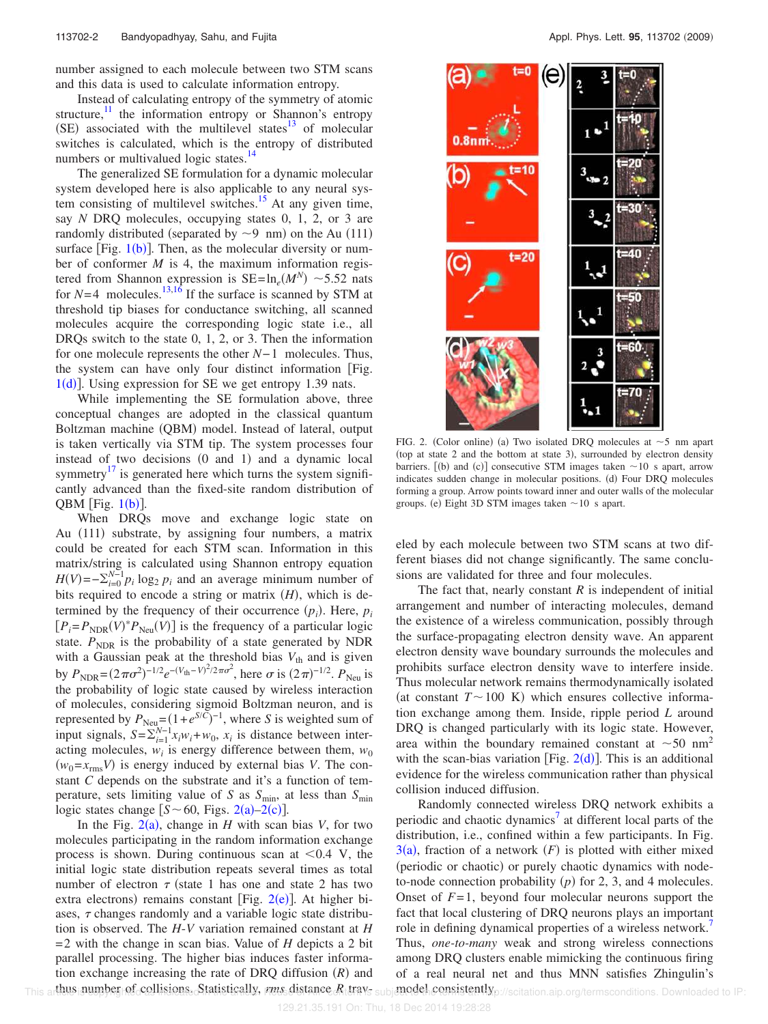number assigned to each molecule between two STM scans and this data is used to calculate information entropy.

Instead of calculating entropy of the symmetry of atomic structure, $\frac{11}{11}$  the information entropy or Shannon's entropy  $(SE)$  associated with the multilevel states<sup>13</sup> of molecular switches is calculated, which is the entropy of distributed numbers or multivalued logic states.<sup>14</sup>

The generalized SE formulation for a dynamic molecular system developed here is also applicable to any neural system consisting of multilevel switches.<sup>15</sup> At any given time, say *N* DRQ molecules, occupying states 0, 1, 2, or 3 are randomly distributed (separated by  $\sim$ 9 nm) on the Au (111) surface [Fig.  $1(b)$ ]. Then, as the molecular diversity or number of conformer *M* is 4, the maximum information registered from Shannon expression is  $SE = \ln_e(M^N) \sim 5.52$  nats for  $N=4$  molecules.<sup>13,16</sup> If the surface is scanned by STM at threshold tip biases for conductance switching, all scanned molecules acquire the corresponding logic state i.e., all DRQs switch to the state 0, 1, 2, or 3. Then the information for one molecule represents the other *N*−1 molecules. Thus, the system can have only four distinct information Fig.  $1(d)$ ]. Using expression for SE we get entropy 1.39 nats.

While implementing the SE formulation above, three conceptual changes are adopted in the classical quantum Boltzman machine (QBM) model. Instead of lateral, output is taken vertically via STM tip. The system processes four instead of two decisions  $(0 \text{ and } 1)$  and a dynamic local symmetry<sup>17</sup> is generated here which turns the system significantly advanced than the fixed-site random distribution of QBM [Fig.  $1(b)$ ].

When DRQs move and exchange logic state on Au (111) substrate, by assigning four numbers, a matrix could be created for each STM scan. Information in this matrix/string is calculated using Shannon entropy equation  $H(V) = -\sum_{i=0}^{N-1} p_i \log_2 p_i$  and an average minimum number of bits required to encode a string or matrix  $(H)$ , which is determined by the frequency of their occurrence  $(p_i)$ . Here,  $p_i$  $[P_i = P_{NDR}(V)^* P_{Neu}(V)]$  is the frequency of a particular logic state.  $P_{NDR}$  is the probability of a state generated by NDR with a Gaussian peak at the threshold bias  $V_{th}$  and is given by  $P_{\text{NDR}} = (2\pi\sigma^2)^{-1/2} e^{-(V_{\text{th}}-V)^2/2\pi\sigma^2}$ , here  $\sigma$  is  $(2\pi)^{-1/2}$ .  $P_{\text{Neu}}$  is the probability of logic state caused by wireless interaction of molecules, considering sigmoid Boltzman neuron, and is represented by  $P_{\text{Neu}} = (1 + e^{S/\tilde{C}})^{-1}$ , where *S* is weighted sum of input signals,  $S = \sum_{i=1}^{N-1} x_i w_i + w_0$ ,  $x_i$  is distance between interacting molecules,  $w_i$  is energy difference between them,  $w_0$  $(w_0 = x_{\text{rms}}V)$  is energy induced by external bias *V*. The constant *C* depends on the substrate and it's a function of temperature, sets limiting value of *S* as *S*min, at less than *S*min logic states change  $[S \sim 60,$  Figs. 2(a)-2(c)].

In the Fig.  $2(a)$ , change in *H* with scan bias *V*, for two molecules participating in the random information exchange process is shown. During continuous scan at  $\leq 0.4$  V, the initial logic state distribution repeats several times as total number of electron  $\tau$  (state 1 has one and state 2 has two extra electrons) remains constant [Fig. 2(e)]. At higher biases,  $\tau$  changes randomly and a variable logic state distribution is observed. The *H*-*V* variation remained constant at *H* =2 with the change in scan bias. Value of *H* depicts a 2 bit parallel processing. The higher bias induces faster information exchange increasing the rate of DRQ diffusion  $(R)$  and



FIG. 2. (Color online) (a) Two isolated DRQ molecules at  $\sim$  5 nm apart (top at state 2 and the bottom at state 3), surrounded by electron density barriers. [(b) and (c)] consecutive STM images taken  $\sim$ 10 s apart, arrow indicates sudden change in molecular positions. (d) Four DRQ molecules forming a group. Arrow points toward inner and outer walls of the molecular groups. (e) Eight 3D STM images taken  $\sim$  10 s apart.

eled by each molecule between two STM scans at two different biases did not change significantly. The same conclusions are validated for three and four molecules.

The fact that, nearly constant  $R$  is independent of initial arrangement and number of interacting molecules, demand the existence of a wireless communication, possibly through the surface-propagating electron density wave. An apparent electron density wave boundary surrounds the molecules and prohibits surface electron density wave to interfere inside. Thus molecular network remains thermodynamically isolated (at constant  $T \sim 100$  K) which ensures collective information exchange among them. Inside, ripple period *L* around DRQ is changed particularly with its logic state. However, area within the boundary remained constant at  $\sim 50 \text{ nm}^2$ with the scan-bias variation [Fig.  $2(d)$ ]. This is an additional evidence for the wireless communication rather than physical collision induced diffusion.

Randomly connected wireless DRQ network exhibits a periodic and chaotic dynamics<sup>7</sup> at different local parts of the distribution, i.e., confined within a few participants. In Fig.  $3(a)$ , fraction of a network  $(F)$  is plotted with either mixed (periodic or chaotic) or purely chaotic dynamics with nodeto-node connection probability  $(p)$  for 2, 3, and 4 molecules. Onset of  $F=1$ , beyond four molecular neurons support the fact that local clustering of DRQ neurons plays an important role in defining dynamical properties of a wireless network.<sup>7</sup> Thus, *one-to-many* weak and strong wireless connections among DRQ clusters enable mimicking the continuous firing of a real neural net and thus MNN satisfies Zhingulin's